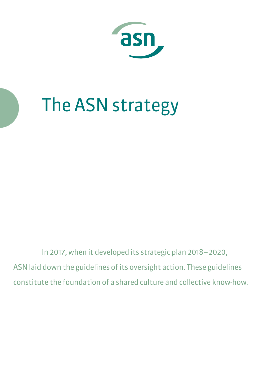



# The ASN strategy

In 2017, when it developed its strategic plan 2018 – 2020, ASN laid down the guidelines of its oversight action. These guidelines constitute the foundation of a shared culture and collective know-how.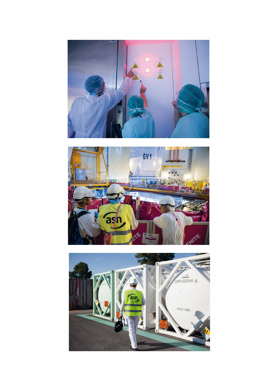



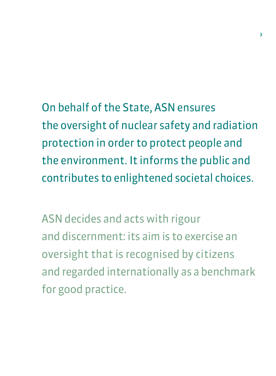On behalf of the State, ASN ensures the oversight of nuclear safety and radiation protection in order to protect people and the environment. It informs the public and contributes to enlightened societal choices.

ASN decides and acts with rigour and discernment: its aim is to exercise an oversight that is recognised by citizens and regarded internationally as a benchmark for good practice.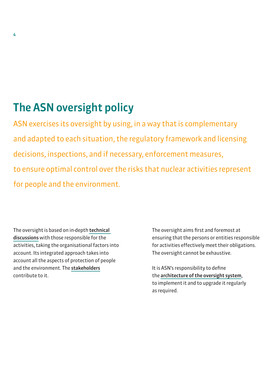### The ASN oversight policy

ASN exercises its oversight by using, in a way that is complementary and adapted to each situation, the regulatory framework and licensing decisions, inspections, and if necessary, enforcement measures, to ensure optimal control over the risks that nuclear activities represent for people and the environment.

The oversight is based on in-depth technical discussions with those responsible for the activities, taking the organisational factors into account. Its integrated approach takes into account all the aspects of protection of people and the environment. The stakeholders contribute to it.

The oversight aims first and foremost at ensuring that the persons or entities responsible for activities effectively meet their obligations. The oversight cannot be exhaustive.

It is ASN's responsibility to define the architecture of the oversight system, to implement it and to upgrade it regularly as required.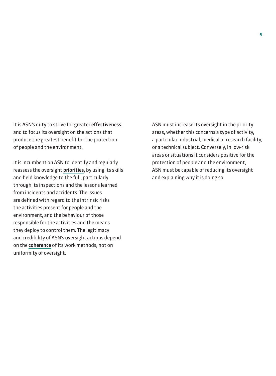It is ASN's duty to strive for greater effectiveness and to focus its oversight on the actions that produce the greatest benefit for the protection of people and the environment.

It is incumbent on ASN to identify and regularly reassess the oversight priorities, by using its skills and field knowledge to the full, particularly through its inspections and the lessons learned from incidents and accidents. The issues are defined with regard to the intrinsic risks the activities present for people and the environment, and the behaviour of those responsible for the activities and the means they deploy to control them. The legitimacy and credibility of ASN's oversight actions depend on the coherence of its work methods, not on uniformity of oversight.

ASN must increase its oversight in the priority areas, whether this concerns a type of activity, a particular industrial, medical or research facility, or a technical subject. Conversely, in low-risk areas or situations it considers positive for the protection of people and the environment, ASN must be capable of reducing its oversight and explaining why it is doing so.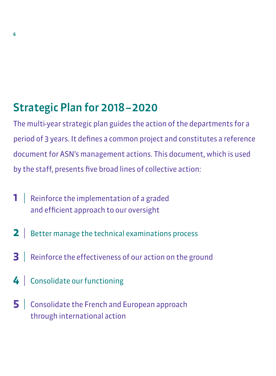#### Strategic Plan for 2018 – 2020

The multi-year strategic plan guides the action of the departments for a period of 3 years. It defines a common project and constitutes a reference document for ASN's management actions. This document, which is used by the staff, presents five broad lines of collective action:

- **1** Reinforce the implementation of a graded and efficient approach to our oversight
- **2** | Better manage the technical examinations process
- **3** Reinforce the effectiveness of our action on the ground
- 4 | Consolidate our functioning
- **5** |Consolidate the French and European approach through international action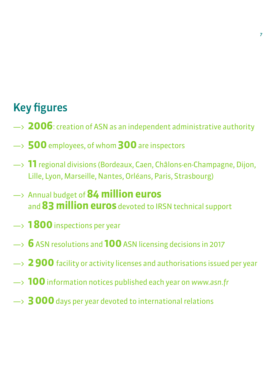## Key figures

- —> **2006**: creation of ASN as an independent administrative authority
- —> **500** employees, of whom **300** are inspectors
- —> **11** regional divisions (Bordeaux, Caen, Châlons-en-Champagne, Dijon, Lille, Lyon, Marseille, Nantes, Orléans, Paris, Strasbourg)
- —> Annual budget of **84 million euros** and **83 million euros** devoted to IRSN technical support
- —> **1 800** inspections per year
- —> **6** ASN resolutions and **100** ASN licensing decisions in 2017
- $\rightarrow$  **2900** facility or activity licenses and authorisations issued per year
- —> **100** information notices published each year on *www.asn.fr*
- —> **3 000** days per year devoted to international relations